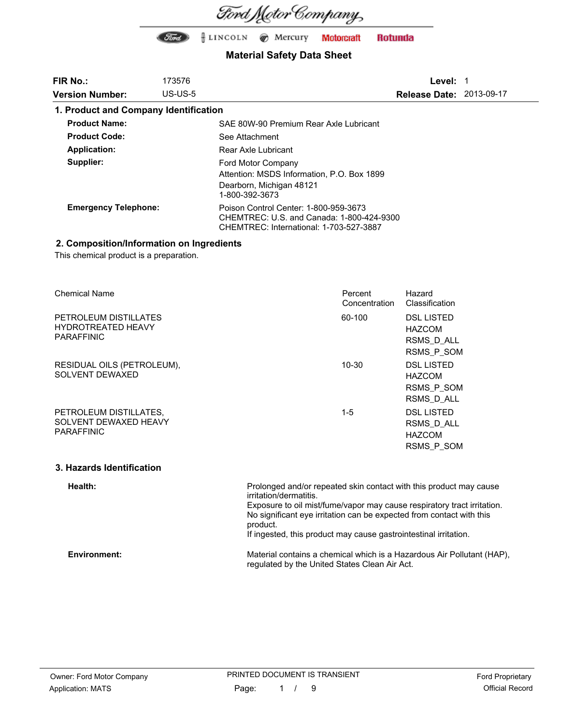

### **Material Safety Data Sheet**

| <b>FIR No.:</b>                       | 173576     |                                                                                                                               | Level:                          |  |
|---------------------------------------|------------|-------------------------------------------------------------------------------------------------------------------------------|---------------------------------|--|
| <b>Version Number:</b>                | $US$ -US-5 |                                                                                                                               | <b>Release Date: 2013-09-17</b> |  |
| 1. Product and Company Identification |            |                                                                                                                               |                                 |  |
| <b>Product Name:</b>                  |            | SAE 80W-90 Premium Rear Axle Lubricant                                                                                        |                                 |  |
| <b>Product Code:</b>                  |            | See Attachment                                                                                                                |                                 |  |
| Application:                          |            | Rear Axle Lubricant                                                                                                           |                                 |  |
| Supplier:                             |            | Ford Motor Company<br>Attention: MSDS Information, P.O. Box 1899<br>Dearborn, Michigan 48121<br>1-800-392-3673                |                                 |  |
| <b>Emergency Telephone:</b>           |            | Poison Control Center: 1-800-959-3673<br>CHEMTREC: U.S. and Canada: 1-800-424-9300<br>CHEMTREC: International: 1-703-527-3887 |                                 |  |

### **2. Composition/Information on Ingredients**

This chemical product is a preparation.

| <b>Chemical Name</b>                                                    | Percent<br>Concentration | Hazard<br>Classification                                       |
|-------------------------------------------------------------------------|--------------------------|----------------------------------------------------------------|
| PETROLEUM DISTILLATES<br><b>HYDROTREATED HEAVY</b><br><b>PARAFFINIC</b> | 60-100                   | <b>DSL LISTED</b><br><b>HAZCOM</b><br>RSMS D ALL<br>RSMS P SOM |
| RESIDUAL OILS (PETROLEUM),<br>SOLVENT DEWAXED                           | $10 - 30$                | <b>DSL LISTED</b><br><b>HAZCOM</b><br>RSMS P SOM<br>RSMS D ALL |
| PETROLEUM DISTILLATES,<br>SOLVENT DEWAXED HEAVY<br><b>PARAFFINIC</b>    | $1 - 5$                  | <b>DSL LISTED</b><br>RSMS D ALL<br><b>HAZCOM</b><br>RSMS P SOM |

#### **3. Hazards Identification**

**Health: Environment:** Prolonged and/or repeated skin contact with this product may cause irritation/dermatitis. Exposure to oil mist/fume/vapor may cause respiratory tract irritation. No significant eye irritation can be expected from contact with this product. If ingested, this product may cause gastrointestinal irritation. Material contains a chemical which is a Hazardous Air Pollutant (HAP), regulated by the United States Clean Air Act.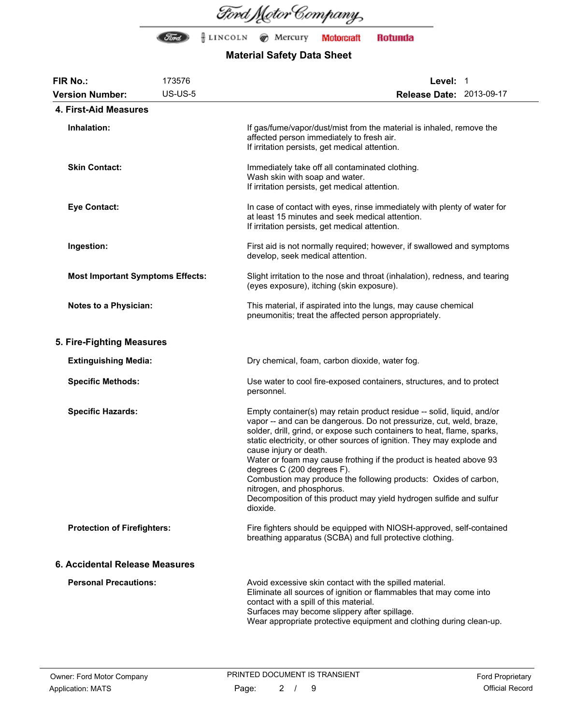

| <b>FIR No.:</b>                         | 173576                                                                                                                                                                        | Level: 1                                                                                                                                                                                                                                                                                                                                                                                                                                                                                                                                                                                                             |  |
|-----------------------------------------|-------------------------------------------------------------------------------------------------------------------------------------------------------------------------------|----------------------------------------------------------------------------------------------------------------------------------------------------------------------------------------------------------------------------------------------------------------------------------------------------------------------------------------------------------------------------------------------------------------------------------------------------------------------------------------------------------------------------------------------------------------------------------------------------------------------|--|
| <b>Version Number:</b>                  | <b>US-US-5</b>                                                                                                                                                                | <b>Release Date: 2013-09-17</b>                                                                                                                                                                                                                                                                                                                                                                                                                                                                                                                                                                                      |  |
| 4. First-Aid Measures                   |                                                                                                                                                                               |                                                                                                                                                                                                                                                                                                                                                                                                                                                                                                                                                                                                                      |  |
| Inhalation:                             |                                                                                                                                                                               | If gas/fume/vapor/dust/mist from the material is inhaled, remove the<br>affected person immediately to fresh air.<br>If irritation persists, get medical attention.                                                                                                                                                                                                                                                                                                                                                                                                                                                  |  |
| <b>Skin Contact:</b>                    |                                                                                                                                                                               | Immediately take off all contaminated clothing.<br>Wash skin with soap and water.<br>If irritation persists, get medical attention.                                                                                                                                                                                                                                                                                                                                                                                                                                                                                  |  |
| <b>Eye Contact:</b>                     | In case of contact with eyes, rinse immediately with plenty of water for<br>at least 15 minutes and seek medical attention.<br>If irritation persists, get medical attention. |                                                                                                                                                                                                                                                                                                                                                                                                                                                                                                                                                                                                                      |  |
| Ingestion:                              |                                                                                                                                                                               | First aid is not normally required; however, if swallowed and symptoms<br>develop, seek medical attention.                                                                                                                                                                                                                                                                                                                                                                                                                                                                                                           |  |
| <b>Most Important Symptoms Effects:</b> |                                                                                                                                                                               | Slight irritation to the nose and throat (inhalation), redness, and tearing<br>(eyes exposure), itching (skin exposure).                                                                                                                                                                                                                                                                                                                                                                                                                                                                                             |  |
| <b>Notes to a Physician:</b>            |                                                                                                                                                                               | This material, if aspirated into the lungs, may cause chemical<br>pneumonitis; treat the affected person appropriately.                                                                                                                                                                                                                                                                                                                                                                                                                                                                                              |  |
| 5. Fire-Fighting Measures               |                                                                                                                                                                               |                                                                                                                                                                                                                                                                                                                                                                                                                                                                                                                                                                                                                      |  |
| <b>Extinguishing Media:</b>             |                                                                                                                                                                               | Dry chemical, foam, carbon dioxide, water fog.                                                                                                                                                                                                                                                                                                                                                                                                                                                                                                                                                                       |  |
| <b>Specific Methods:</b>                |                                                                                                                                                                               | Use water to cool fire-exposed containers, structures, and to protect<br>personnel.                                                                                                                                                                                                                                                                                                                                                                                                                                                                                                                                  |  |
| <b>Specific Hazards:</b>                |                                                                                                                                                                               | Empty container(s) may retain product residue -- solid, liquid, and/or<br>vapor -- and can be dangerous. Do not pressurize, cut, weld, braze,<br>solder, drill, grind, or expose such containers to heat, flame, sparks,<br>static electricity, or other sources of ignition. They may explode and<br>cause injury or death.<br>Water or foam may cause frothing if the product is heated above 93<br>degrees C (200 degrees F).<br>Combustion may produce the following products: Oxides of carbon,<br>nitrogen, and phosphorus.<br>Decomposition of this product may yield hydrogen sulfide and sulfur<br>dioxide. |  |
| <b>Protection of Firefighters:</b>      |                                                                                                                                                                               | Fire fighters should be equipped with NIOSH-approved, self-contained<br>breathing apparatus (SCBA) and full protective clothing.                                                                                                                                                                                                                                                                                                                                                                                                                                                                                     |  |
| 6. Accidental Release Measures          |                                                                                                                                                                               |                                                                                                                                                                                                                                                                                                                                                                                                                                                                                                                                                                                                                      |  |
| <b>Personal Precautions:</b>            |                                                                                                                                                                               | Avoid excessive skin contact with the spilled material.<br>Eliminate all sources of ignition or flammables that may come into<br>contact with a spill of this material.<br>Surfaces may become slippery after spillage.<br>Wear appropriate protective equipment and clothing during clean-up.                                                                                                                                                                                                                                                                                                                       |  |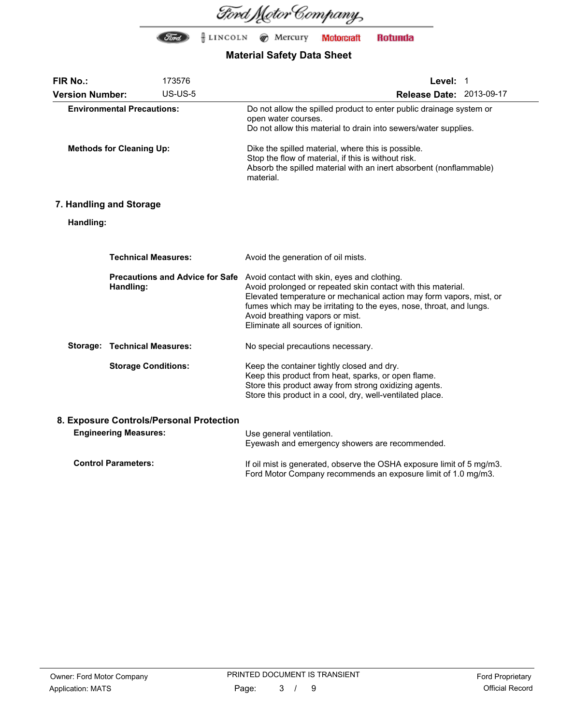

| FIR No.:                                                                 |                                     | 173576                                 | Level: 1                                                                                                                                                                                                                                                                                                                           |
|--------------------------------------------------------------------------|-------------------------------------|----------------------------------------|------------------------------------------------------------------------------------------------------------------------------------------------------------------------------------------------------------------------------------------------------------------------------------------------------------------------------------|
| <b>Version Number:</b>                                                   |                                     | <b>US-US-5</b>                         | Release Date: 2013-09-17                                                                                                                                                                                                                                                                                                           |
|                                                                          | <b>Environmental Precautions:</b>   |                                        | Do not allow the spilled product to enter public drainage system or<br>open water courses.<br>Do not allow this material to drain into sewers/water supplies.                                                                                                                                                                      |
| <b>Methods for Cleaning Up:</b>                                          |                                     |                                        | Dike the spilled material, where this is possible.<br>Stop the flow of material, if this is without risk.<br>Absorb the spilled material with an inert absorbent (nonflammable)<br>material.                                                                                                                                       |
|                                                                          | 7. Handling and Storage             |                                        |                                                                                                                                                                                                                                                                                                                                    |
| Handling:                                                                |                                     |                                        |                                                                                                                                                                                                                                                                                                                                    |
|                                                                          | <b>Technical Measures:</b>          |                                        | Avoid the generation of oil mists.                                                                                                                                                                                                                                                                                                 |
|                                                                          | Handling:                           | <b>Precautions and Advice for Safe</b> | Avoid contact with skin, eyes and clothing.<br>Avoid prolonged or repeated skin contact with this material.<br>Elevated temperature or mechanical action may form vapors, mist, or<br>fumes which may be irritating to the eyes, nose, throat, and lungs.<br>Avoid breathing vapors or mist.<br>Eliminate all sources of ignition. |
|                                                                          | <b>Storage: Technical Measures:</b> |                                        | No special precautions necessary.                                                                                                                                                                                                                                                                                                  |
|                                                                          | <b>Storage Conditions:</b>          |                                        | Keep the container tightly closed and dry.<br>Keep this product from heat, sparks, or open flame.<br>Store this product away from strong oxidizing agents.<br>Store this product in a cool, dry, well-ventilated place.                                                                                                            |
| 8. Exposure Controls/Personal Protection<br><b>Engineering Measures:</b> |                                     |                                        | Use general ventilation.<br>Eyewash and emergency showers are recommended.                                                                                                                                                                                                                                                         |
| <b>Control Parameters:</b>                                               |                                     |                                        | If oil mist is generated, observe the OSHA exposure limit of 5 mg/m3.<br>Ford Motor Company recommends an exposure limit of 1.0 mg/m3.                                                                                                                                                                                             |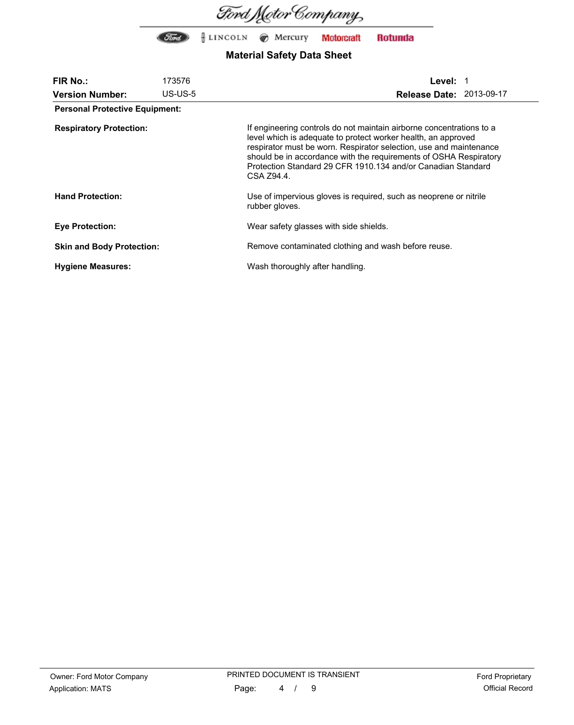

| <b>FIR No.:</b>                       | 173576     | Level: 1                                                                                                                                                                                                                                                                                                                                                       |
|---------------------------------------|------------|----------------------------------------------------------------------------------------------------------------------------------------------------------------------------------------------------------------------------------------------------------------------------------------------------------------------------------------------------------------|
| <b>Version Number:</b>                | $US$ -US-5 | <b>Release Date: 2013-09-17</b>                                                                                                                                                                                                                                                                                                                                |
| <b>Personal Protective Equipment:</b> |            |                                                                                                                                                                                                                                                                                                                                                                |
| <b>Respiratory Protection:</b>        |            | If engineering controls do not maintain airborne concentrations to a<br>level which is adequate to protect worker health, an approved<br>respirator must be worn. Respirator selection, use and maintenance<br>should be in accordance with the requirements of OSHA Respiratory<br>Protection Standard 29 CFR 1910.134 and/or Canadian Standard<br>CSA Z94.4. |
| <b>Hand Protection:</b>               |            | Use of impervious gloves is required, such as neoprene or nitrile<br>rubber gloves.                                                                                                                                                                                                                                                                            |
| <b>Eye Protection:</b>                |            | Wear safety glasses with side shields.                                                                                                                                                                                                                                                                                                                         |
| <b>Skin and Body Protection:</b>      |            | Remove contaminated clothing and wash before reuse.                                                                                                                                                                                                                                                                                                            |
| <b>Hygiene Measures:</b>              |            | Wash thoroughly after handling.                                                                                                                                                                                                                                                                                                                                |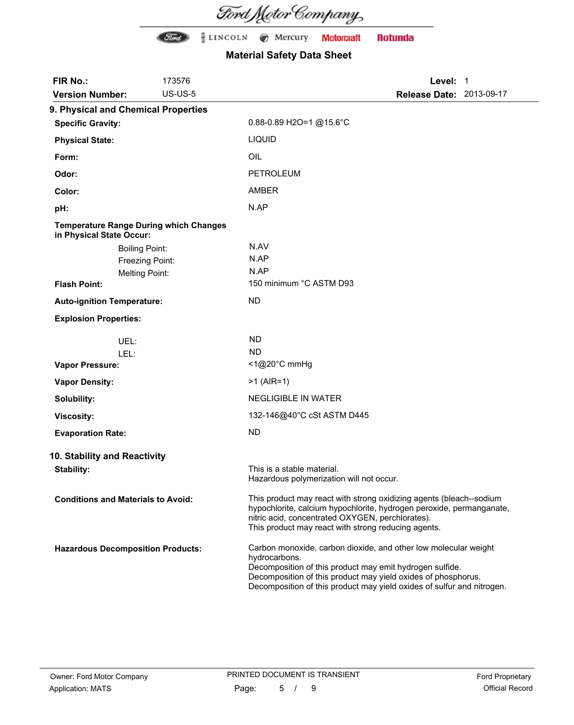Ford Motor Company

| FIR No.:                                                                  | 173576          | Level: 1                                                                                                                                                                                                                                                                                |
|---------------------------------------------------------------------------|-----------------|-----------------------------------------------------------------------------------------------------------------------------------------------------------------------------------------------------------------------------------------------------------------------------------------|
| <b>Version Number:</b>                                                    | <b>US-US-5</b>  | <b>Release Date: 2013-09-17</b>                                                                                                                                                                                                                                                         |
| 9. Physical and Chemical Properties                                       |                 |                                                                                                                                                                                                                                                                                         |
| <b>Specific Gravity:</b>                                                  |                 | 0.88-0.89 H2O=1 @15.6°C                                                                                                                                                                                                                                                                 |
| <b>Physical State:</b>                                                    |                 | <b>LIQUID</b>                                                                                                                                                                                                                                                                           |
| Form:                                                                     |                 | OIL                                                                                                                                                                                                                                                                                     |
| Odor:                                                                     |                 | <b>PETROLEUM</b>                                                                                                                                                                                                                                                                        |
| Color:                                                                    |                 | <b>AMBER</b>                                                                                                                                                                                                                                                                            |
| pH:                                                                       |                 | N.AP                                                                                                                                                                                                                                                                                    |
| <b>Temperature Range During which Changes</b><br>in Physical State Occur: |                 |                                                                                                                                                                                                                                                                                         |
| <b>Boiling Point:</b>                                                     |                 | N.AV                                                                                                                                                                                                                                                                                    |
|                                                                           | Freezing Point: | N.AP                                                                                                                                                                                                                                                                                    |
| <b>Melting Point:</b>                                                     |                 | N.AP                                                                                                                                                                                                                                                                                    |
| <b>Flash Point:</b>                                                       |                 | 150 minimum °C ASTM D93                                                                                                                                                                                                                                                                 |
| <b>Auto-ignition Temperature:</b>                                         |                 | <b>ND</b>                                                                                                                                                                                                                                                                               |
| <b>Explosion Properties:</b>                                              |                 |                                                                                                                                                                                                                                                                                         |
| UEL:                                                                      |                 | <b>ND</b>                                                                                                                                                                                                                                                                               |
| LEL:                                                                      |                 | <b>ND</b>                                                                                                                                                                                                                                                                               |
| <b>Vapor Pressure:</b>                                                    |                 | <1@20°C mmHg                                                                                                                                                                                                                                                                            |
| <b>Vapor Density:</b>                                                     |                 | $>1$ (AIR=1)                                                                                                                                                                                                                                                                            |
| Solubility:                                                               |                 | <b>NEGLIGIBLE IN WATER</b>                                                                                                                                                                                                                                                              |
| <b>Viscosity:</b>                                                         |                 | 132-146@40°C cSt ASTM D445                                                                                                                                                                                                                                                              |
| <b>Evaporation Rate:</b>                                                  |                 | <b>ND</b>                                                                                                                                                                                                                                                                               |
| 10. Stability and Reactivity                                              |                 |                                                                                                                                                                                                                                                                                         |
| <b>Stability:</b>                                                         |                 | This is a stable material.<br>Hazardous polymerization will not occur.                                                                                                                                                                                                                  |
| <b>Conditions and Materials to Avoid:</b>                                 |                 | This product may react with strong oxidizing agents (bleach--sodium<br>hypochlorite, calcium hypochlorite, hydrogen peroxide, permanganate,<br>nitric acid, concentrated OXYGEN, perchlorates).<br>This product may react with strong reducing agents.                                  |
| <b>Hazardous Decomposition Products:</b>                                  |                 | Carbon monoxide, carbon dioxide, and other low molecular weight<br>hydrocarbons.<br>Decomposition of this product may emit hydrogen sulfide.<br>Decomposition of this product may yield oxides of phosphorus.<br>Decomposition of this product may yield oxides of sulfur and nitrogen. |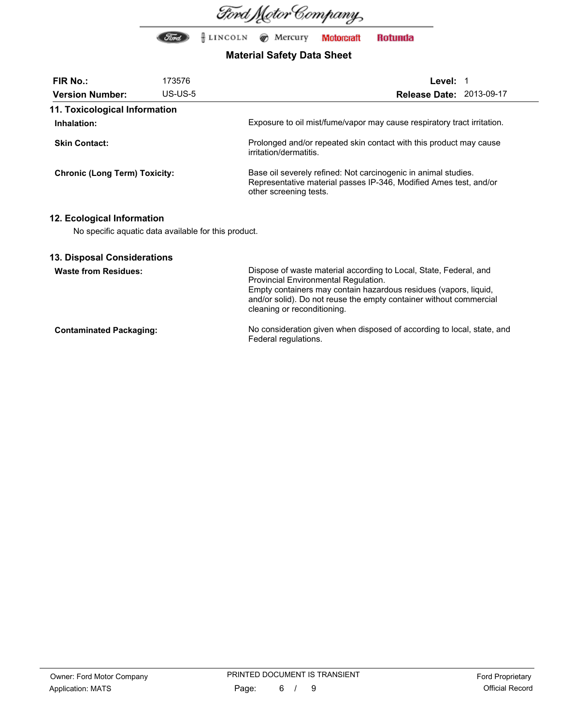

## **Material Safety Data Sheet**

| <b>FIR No.:</b>                      | 173576                                               | Level: 1                                                                                                                                                      |
|--------------------------------------|------------------------------------------------------|---------------------------------------------------------------------------------------------------------------------------------------------------------------|
| <b>Version Number:</b>               | $US$ -US-5                                           | <b>Release Date: 2013-09-17</b>                                                                                                                               |
| 11. Toxicological Information        |                                                      |                                                                                                                                                               |
| Inhalation:                          |                                                      | Exposure to oil mist/fume/vapor may cause respiratory tract irritation.                                                                                       |
| <b>Skin Contact:</b>                 |                                                      | Prolonged and/or repeated skin contact with this product may cause<br>irritation/dermatitis.                                                                  |
| <b>Chronic (Long Term) Toxicity:</b> |                                                      | Base oil severely refined: Not carcinogenic in animal studies.<br>Representative material passes IP-346, Modified Ames test, and/or<br>other screening tests. |
| 12. Ecological Information           | No specific aquatic data available for this product. |                                                                                                                                                               |

### **13. Disposal Considerations**

| <b>Waste from Residues:</b>    | Dispose of waste material according to Local, State, Federal, and<br>Provincial Environmental Regulation.<br>Empty containers may contain hazardous residues (vapors, liquid,<br>and/or solid). Do not reuse the empty container without commercial<br>cleaning or reconditioning. |
|--------------------------------|------------------------------------------------------------------------------------------------------------------------------------------------------------------------------------------------------------------------------------------------------------------------------------|
| <b>Contaminated Packaging:</b> | No consideration given when disposed of according to local, state, and<br>Federal regulations.                                                                                                                                                                                     |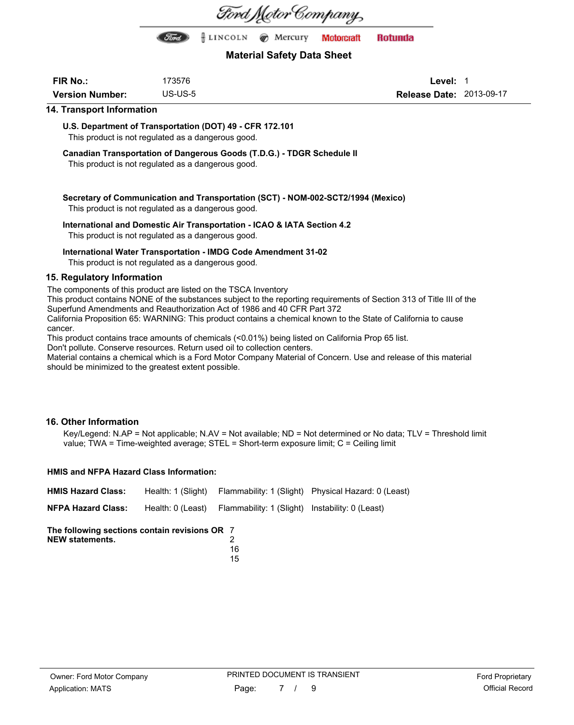

### **Material Safety Data Sheet**

| <b>FIR No.:</b>        | 173576  |
|------------------------|---------|
| <b>Version Number:</b> | US-US-5 |

**Level:** 1 **Release Date:** 2013-09-17

#### **14. Transport Information**

**U.S. Department of Transportation (DOT) 49 - CFR 172.101**

This product is not regulated as a dangerous good.

**Canadian Transportation of Dangerous Goods (T.D.G.) - TDGR Schedule II**

This product is not regulated as a dangerous good.

**Secretary of Communication and Transportation (SCT) - NOM-002-SCT2/1994 (Mexico)** This product is not regulated as a dangerous good.

### **International and Domestic Air Transportation - ICAO & IATA Section 4.2**

This product is not regulated as a dangerous good.

### **International Water Transportation - IMDG Code Amendment 31-02**

This product is not regulated as a dangerous good.

### **15. Regulatory Information**

The components of this product are listed on the TSCA Inventory

This product contains NONE of the substances subject to the reporting requirements of Section 313 of Title III of the Superfund Amendments and Reauthorization Act of 1986 and 40 CFR Part 372

California Proposition 65: WARNING: This product contains a chemical known to the State of California to cause cancer.

This product contains trace amounts of chemicals (<0.01%) being listed on California Prop 65 list.

Don't pollute. Conserve resources. Return used oil to collection centers.

Material contains a chemical which is a Ford Motor Company Material of Concern. Use and release of this material should be minimized to the greatest extent possible.

### **16. Other Information**

Key/Legend: N.AP = Not applicable; N.AV = Not available; ND = Not determined or No data; TLV = Threshold limit value; TWA = Time-weighted average; STEL = Short-term exposure limit; C = Ceiling limit

#### **HMIS and NFPA Hazard Class Information:**

| The following sections contain revisions OR 7<br><b>NEW statements.</b> | 1 Q                                                               |                                                                        |
|-------------------------------------------------------------------------|-------------------------------------------------------------------|------------------------------------------------------------------------|
| <b>NFPA Hazard Class:</b>                                               | Health: 0 (Least) Flammability: 1 (Slight) Instability: 0 (Least) |                                                                        |
| <b>HMIS Hazard Class:</b>                                               |                                                                   | Health: 1 (Slight) Flammability: 1 (Slight) Physical Hazard: 0 (Least) |

|   | ×<br>۰, |
|---|---------|
|   |         |
|   | ٠       |
| ٠ | ×       |
|   |         |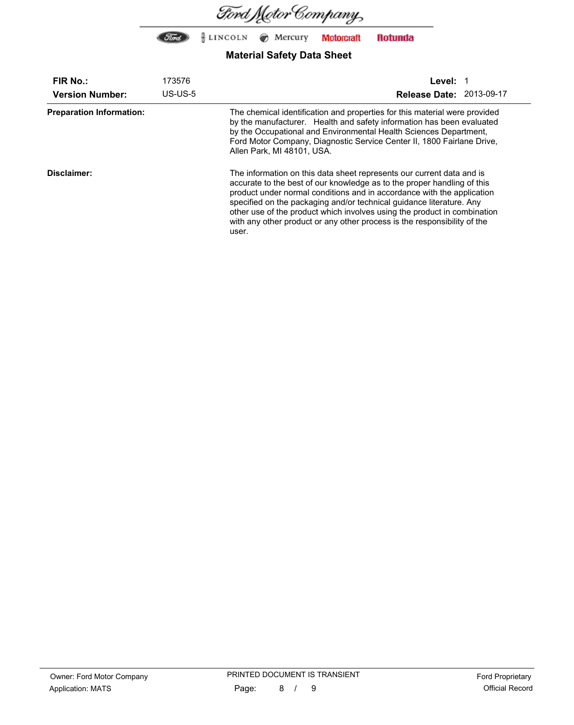

| <b>FIR No.:</b>                 | 173576     | <b>Level:</b>                                                                                                                                                                                                                                                                                                                                                                                                                                                       |  |  |
|---------------------------------|------------|---------------------------------------------------------------------------------------------------------------------------------------------------------------------------------------------------------------------------------------------------------------------------------------------------------------------------------------------------------------------------------------------------------------------------------------------------------------------|--|--|
| <b>Version Number:</b>          | $US$ -US-5 | Release Date: 2013-09-17                                                                                                                                                                                                                                                                                                                                                                                                                                            |  |  |
| <b>Preparation Information:</b> |            | The chemical identification and properties for this material were provided<br>by the manufacturer. Health and safety information has been evaluated<br>by the Occupational and Environmental Health Sciences Department,<br>Ford Motor Company, Diagnostic Service Center II, 1800 Fairlane Drive,<br>Allen Park, MI 48101, USA.                                                                                                                                    |  |  |
| Disclaimer:                     |            | The information on this data sheet represents our current data and is<br>accurate to the best of our knowledge as to the proper handling of this<br>product under normal conditions and in accordance with the application<br>specified on the packaging and/or technical guidance literature. Any<br>other use of the product which involves using the product in combination<br>with any other product or any other process is the responsibility of the<br>user. |  |  |